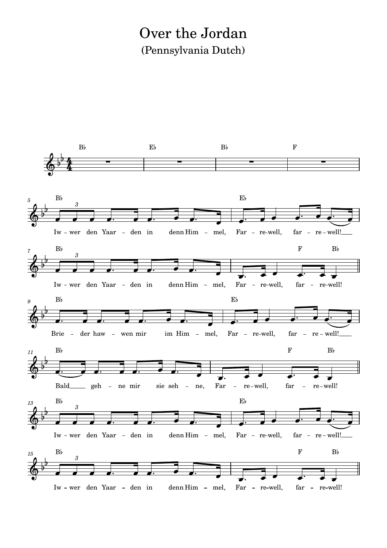### (Pennsylvania Dutch) Over the Jordan

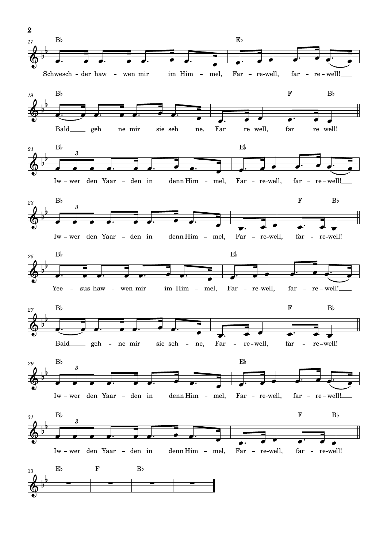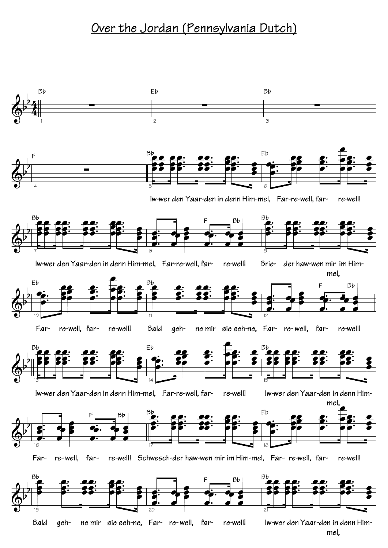#### Over the Jordan (Pennsylvania Dutch)



mel.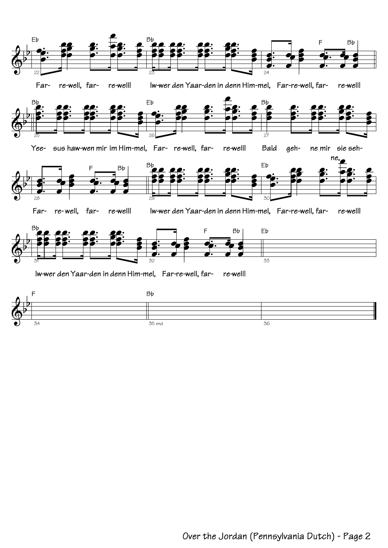

```
35 end
```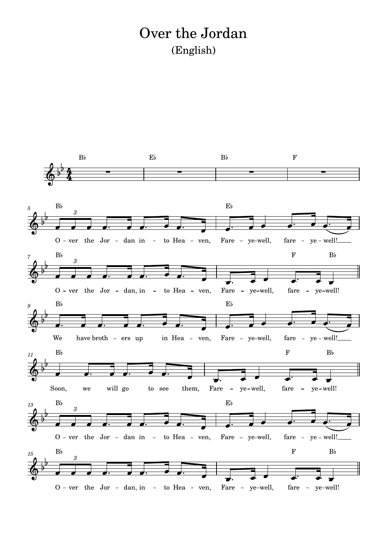## (English) Over the Jordan

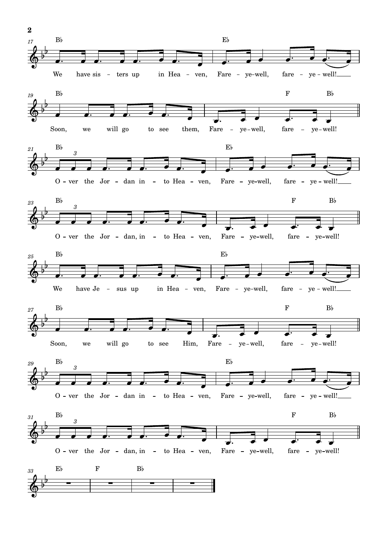













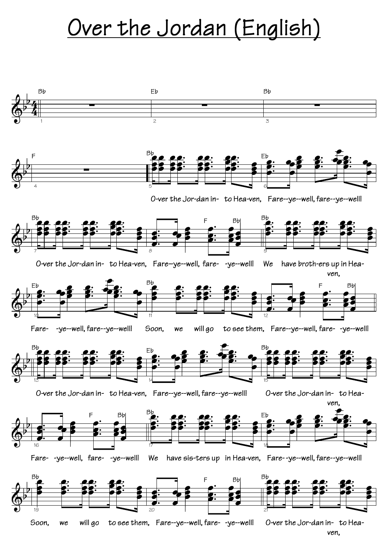## Over the Jordan (English)



ven,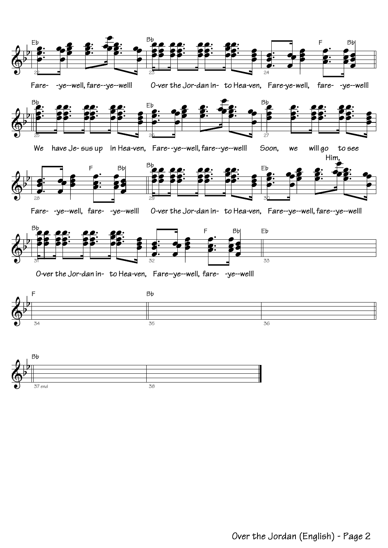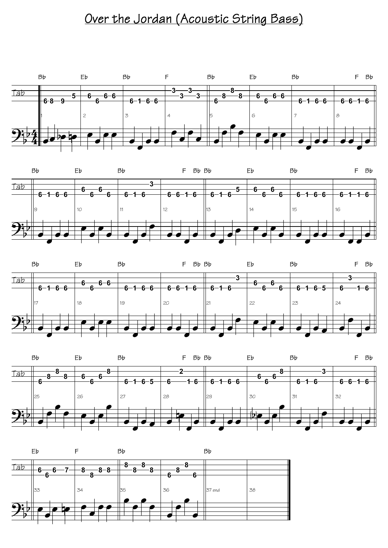#### Over the Jordan (Acoustic String Bass)









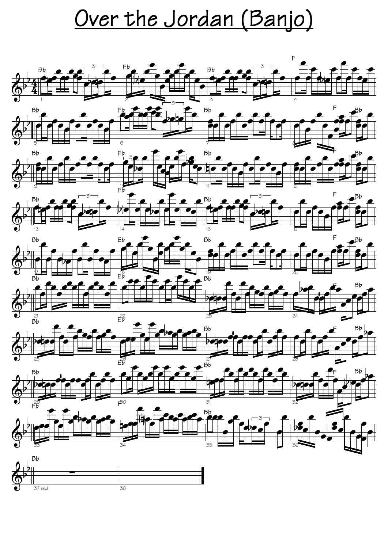# Over the Jordan (Banjo)

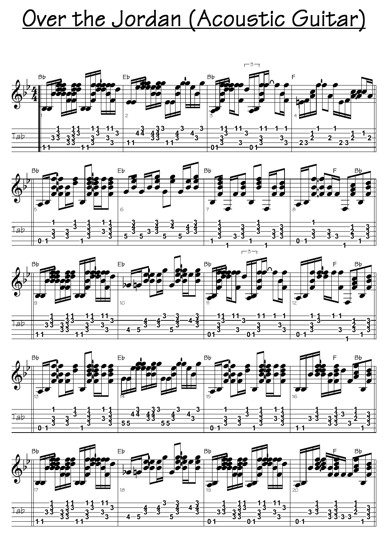# Over the Jordan (Acoustic Guitar)









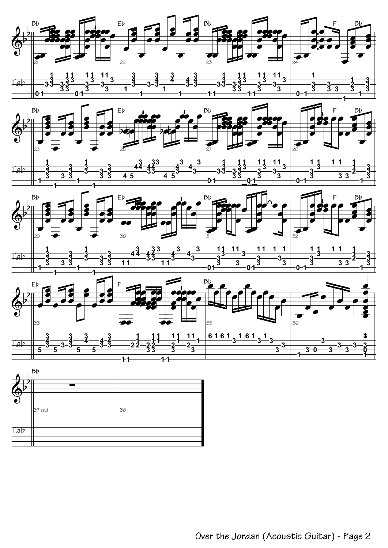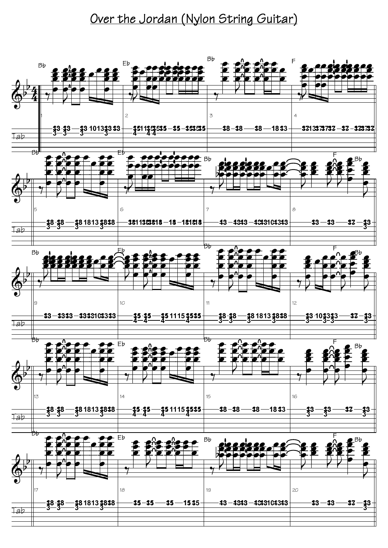### Over the Jordan (Nylon String Guitar)